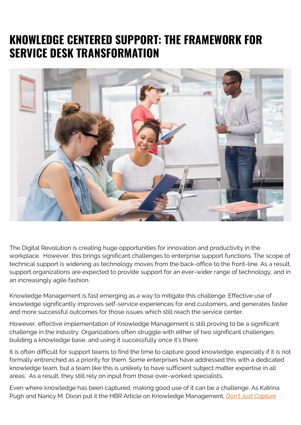## **KNOWLEDGE CENTERED SUPPORT: THE FRAMEWORK FOR SERVICE DESK TRANSFORMATION**



The Digital Revolution is creating huge opportunities for innovation and productivity in the workplace. However, this brings significant challenges to enterprise support functions. The scope of technical support is widening as technology moves from the back-office to the front-line. As a result, support organizations are expected to provide support for an ever-wider range of technology, and in an increasingly agile fashion.

Knowledge Management is fast emerging as a way to mitigate this challenge. Effective use of knowledge significantly improves self-service experiences for end customers, and generates faster and more successful outcomes for those issues which still reach the service center.

However, effective implementation of Knowledge Management is still proving to be a significant challenge in the industry. Organizations often struggle with either of two significant challenges: building a knowledge base, and using it successfully once it's there.

It is often difficult for support teams to find the time to capture good knowledge, especially if it is not formally entrenched as a priority for them. Some enterprises have addressed this with a dedicated knowledge team, but a team like this is unlikely to have sufficient subject matter expertise in all areas. As a result, they still rely on input from those over-worked specialists.

Even where knowledge has been captured, making good use of it can be a challenge. As Katrina Pugh and Nancy M. Dixon put it the HBR Article on Knowledge Management, *[Don't Just Capture](https://hbr.org/2008/05/dont-just-capture-knowledge-put-it-to-work)*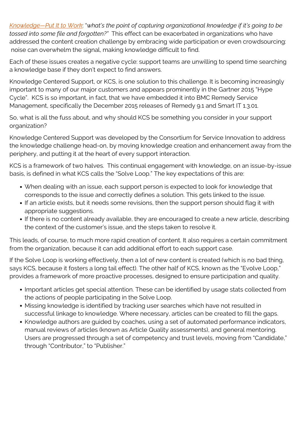*[Knowledge—Put It to Work](https://hbr.org/2008/05/dont-just-capture-knowledge-put-it-to-work)*: "*what's the point of capturing organizational knowledge if it's going to be tossed into some file and forgotten?"* This effect can be exacerbated in organizations who have addressed the content creation challenge by embracing wide participation or even crowdsourcing: noise can overwhelm the signal, making knowledge difficult to find.

Each of these issues creates a negative cycle: support teams are unwilling to spend time searching a knowledge base if they don't expect to find answers.

Knowledge Centered Support, or KCS, is one solution to this challenge. It is becoming increasingly important to many of our major customers and appears prominently in the Gartner 2015 "Hype Cycle". KCS is so important, in fact, that we have embedded it into BMC Remedy Service Management, specifically the December 2015 releases of Remedy 9.1 and Smart IT 1.3.01.

So, what is all the fuss about, and why should KCS be something you consider in your support organization?

Knowledge Centered Support was developed by the Consortium for Service Innovation to address the knowledge challenge head-on, by moving knowledge creation and enhancement away from the periphery, and putting it at the heart of every support interaction.

KCS is a framework of two halves. This continual engagement with knowledge, on an issue-by-issue basis, is defined in what KCS calls the "Solve Loop." The key expectations of this are:

- When dealing with an issue, each support person is expected to look for knowledge that corresponds to the issue and correctly defines a solution. This gets linked to the issue.
- If an article exists, but it needs some revisions, then the support person should flag it with appropriate suggestions.
- If there is no content already available, they are encouraged to create a new article, describing the context of the customer's issue, and the steps taken to resolve it.

This leads, of course, to much more rapid creation of content. It also requires a certain commitment from the organization, because it can add additional effort to each support case.

If the Solve Loop is working effectively, then a lot of new content is created (which is no bad thing, says KCS, because it fosters a long tail effect). The other half of KCS, known as the "Evolve Loop," provides a framework of more proactive processes, designed to ensure participation and quality.

- Important articles get special attention. These can be identified by usage stats collected from the actions of people participating in the Solve Loop.
- Missing knowledge is identified by tracking user searches which have not resulted in successful linkage to knowledge. Where necessary, articles can be created to fill the gaps.
- Knowledge authors are guided by coaches, using a set of automated performance indicators, manual reviews of articles (known as Article Quality assessments), and general mentoring. Users are progressed through a set of competency and trust levels, moving from "Candidate," through "Contributor," to "Publisher."